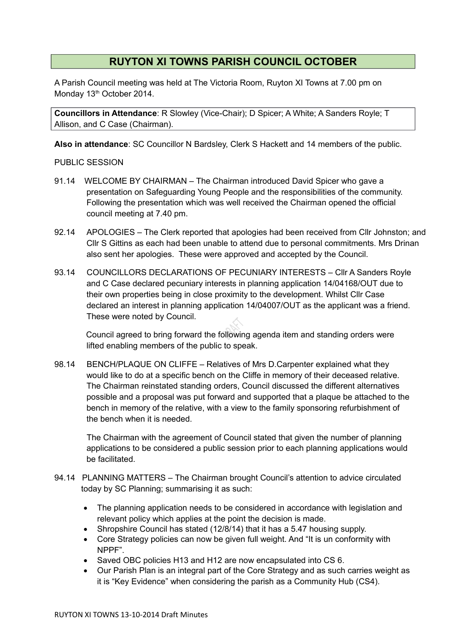## **RUYTON XI TOWNS PARISH COUNCIL OCTOBER**

A Parish Council meeting was held at The Victoria Room, Ruyton XI Towns at 7.00 pm on Monday 13<sup>th</sup> October 2014.

**Councillors in Attendance**: R Slowley (Vice-Chair); D Spicer; A White; A Sanders Royle; T Allison, and C Case (Chairman).

**Also in attendance**: SC Councillor N Bardsley, Clerk S Hackett and 14 members of the public.

PUBLIC SESSION

- 91.14 WELCOME BY CHAIRMAN The Chairman introduced David Spicer who gave a presentation on Safeguarding Young People and the responsibilities of the community. Following the presentation which was well received the Chairman opened the official council meeting at 7.40 pm.
- 92.14 APOLOGIES The Clerk reported that apologies had been received from Cllr Johnston; and Cllr S Gittins as each had been unable to attend due to personal commitments. Mrs Drinan also sent her apologies. These were approved and accepted by the Council.
- 93.14 COUNCILLORS DECLARATIONS OF PECUNIARY INTERESTS ClIr A Sanders Royle and C Case declared pecuniary interests in planning application 14/04168/OUT due to their own properties being in close proximity to the development. Whilst Cllr Case declared an interest in planning application 14/04007/OUT as the applicant was a friend. These were noted by Council.

Council agreed to bring forward the following agenda item and standing orders were lifted enabling members of the public to speak.

98.14 BENCH/PLAQUE ON CLIFFE – Relatives of Mrs D.Carpenter explained what they would like to do at a specific bench on the Cliffe in memory of their deceased relative. The Chairman reinstated standing orders, Council discussed the different alternatives possible and a proposal was put forward and supported that a plaque be attached to the bench in memory of the relative, with a view to the family sponsoring refurbishment of the bench when it is needed.

The Chairman with the agreement of Council stated that given the number of planning applications to be considered a public session prior to each planning applications would be facilitated.

- 94.14 PLANNING MATTERS The Chairman brought Council's attention to advice circulated today by SC Planning; summarising it as such:
	- The planning application needs to be considered in accordance with legislation and relevant policy which applies at the point the decision is made.
	- Shropshire Council has stated (12/8/14) that it has a 5.47 housing supply.
	- Core Strategy policies can now be given full weight. And "It is un conformity with NPPF".
	- Saved OBC policies H13 and H12 are now encapsulated into CS 6.
	- Our Parish Plan is an integral part of the Core Strategy and as such carries weight as it is "Key Evidence" when considering the parish as a Community Hub (CS4).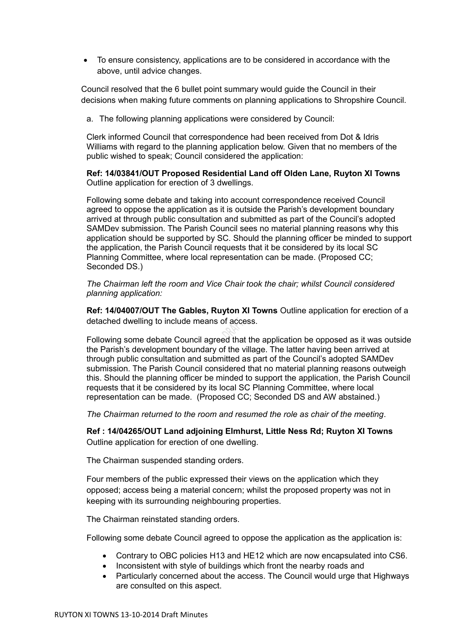To ensure consistency, applications are to be considered in accordance with the above, until advice changes.

Council resolved that the 6 bullet point summary would guide the Council in their decisions when making future comments on planning applications to Shropshire Council.

a. The following planning applications were considered by Council:

Clerk informed Council that correspondence had been received from Dot & Idris Williams with regard to the planning application below. Given that no members of the public wished to speak; Council considered the application:

**Ref: 14/03841/OUT Proposed Residential Land off Olden Lane, Ruyton XI Towns**  Outline application for erection of 3 dwellings.

Following some debate and taking into account correspondence received Council agreed to oppose the application as it is outside the Parish's development boundary arrived at through public consultation and submitted as part of the Council's adopted SAMDev submission. The Parish Council sees no material planning reasons why this application should be supported by SC. Should the planning officer be minded to support the application, the Parish Council requests that it be considered by its local SC Planning Committee, where local representation can be made. (Proposed CC; Seconded DS.)

*The Chairman left the room and Vice Chair took the chair; whilst Council considered planning application:*

**Ref: 14/04007/OUT The Gables, Ruyton XI Towns** Outline application for erection of a detached dwelling to include means of access.

Following some debate Council agreed that the application be opposed as it was outside the Parish's development boundary of the village. The latter having been arrived at through public consultation and submitted as part of the Council's adopted SAMDev submission. The Parish Council considered that no material planning reasons outweigh this. Should the planning officer be minded to support the application, the Parish Council requests that it be considered by its local SC Planning Committee, where local representation can be made.(Proposed CC; Seconded DS and AW abstained.)

*The Chairman returned to the room and resumed the role as chair of the meeting*.

**Ref : 14/04265/OUT Land adjoining Elmhurst, Little Ness Rd; Ruyton XI Towns**  Outline application for erection of one dwelling.

The Chairman suspended standing orders.

Four members of the public expressed their views on the application which they opposed; access being a material concern; whilst the proposed property was not in keeping with its surrounding neighbouring properties.

The Chairman reinstated standing orders.

Following some debate Council agreed to oppose the application as the application is:

- Contrary to OBC policies H13 and HE12 which are now encapsulated into CS6.
- Inconsistent with style of buildings which front the nearby roads and
- Particularly concerned about the access. The Council would urge that Highways are consulted on this aspect.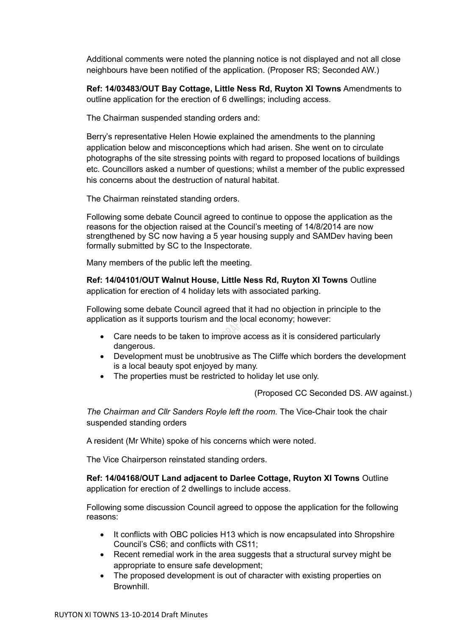Additional comments were noted the planning notice is not displayed and not all close neighbours have been notified of the application. (Proposer RS; Seconded AW.)

**Ref: 14/03483/OUT Bay Cottage, Little Ness Rd, Ruyton XI Towns** Amendments to outline application for the erection of 6 dwellings; including access.

The Chairman suspended standing orders and:

Berry's representative Helen Howie explained the amendments to the planning application below and misconceptions which had arisen. She went on to circulate photographs of the site stressing points with regard to proposed locations of buildings etc. Councillors asked a number of questions; whilst a member of the public expressed his concerns about the destruction of natural habitat.

The Chairman reinstated standing orders.

Following some debate Council agreed to continue to oppose the application as the reasons for the objection raised at the Council's meeting of 14/8/2014 are now strengthened by SC now having a 5 year housing supply and SAMDev having been formally submitted by SC to the Inspectorate.

Many members of the public left the meeting.

**Ref: 14/04101/OUT Walnut House, Little Ness Rd, Ruyton XI Towns** Outline application for erection of 4 holiday lets with associated parking.

Following some debate Council agreed that it had no objection in principle to the application as it supports tourism and the local economy; however:

- Care needs to be taken to improve access as it is considered particularly dangerous.
- Development must be unobtrusive as The Cliffe which borders the development is a local beauty spot enjoyed by many.
- The properties must be restricted to holiday let use only.

(Proposed CC Seconded DS. AW against.)

*The Chairman and Cllr Sanders Royle left the room.* The Vice-Chair took the chair suspended standing orders

A resident (Mr White) spoke of his concerns which were noted.

The Vice Chairperson reinstated standing orders.

**Ref: 14/04168/OUT Land adjacent to Darlee Cottage, Ruyton XI Towns** Outline application for erection of 2 dwellings to include access.

Following some discussion Council agreed to oppose the application for the following reasons:

- It conflicts with OBC policies H13 which is now encapsulated into Shropshire Council's CS6; and conflicts with CS11;
- Recent remedial work in the area suggests that a structural survey might be appropriate to ensure safe development;
- The proposed development is out of character with existing properties on **Brownhill**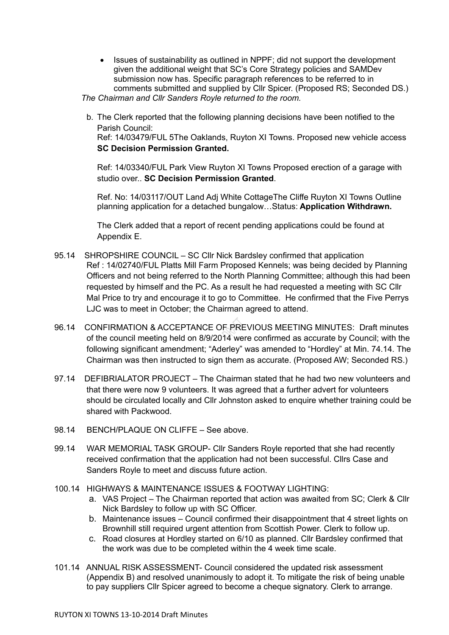• Issues of sustainability as outlined in NPPF; did not support the development given the additional weight that SC's Core Strategy policies and SAMDev submission now has. Specific paragraph references to be referred to in comments submitted and supplied by Cllr Spicer. (Proposed RS; Seconded DS.)

*The Chairman and Cllr Sanders Royle returned to the room.*

b. The Clerk reported that the following planning decisions have been notified to the Parish Council: Ref: 14/03479/FUL 5The Oaklands, Ruyton XI Towns. Proposed new vehicle access

## **SC Decision Permission Granted.**

Ref: 14/03340/FUL Park View Ruyton XI Towns Proposed erection of a garage with studio over.. **SC Decision Permission Granted**.

Ref. No: 14/03117/OUT Land Adj White CottageThe Cliffe Ruyton XI Towns Outline planning application for a detached bungalow…Status: **Application Withdrawn.**

The Clerk added that a report of recent pending applications could be found at Appendix E.

- 95.14 SHROPSHIRE COUNCIL SC Cllr Nick Bardsley confirmed that application Ref : 14/02740/FUL Platts Mill Farm Proposed Kennels; was being decided by Planning Officers and not being referred to the North Planning Committee; although this had been requested by himself and the PC. As a result he had requested a meeting with SC Cllr Mal Price to try and encourage it to go to Committee. He confirmed that the Five Perrys LJC was to meet in October; the Chairman agreed to attend.
- 96.14 CONFIRMATION & ACCEPTANCE OF PREVIOUS MEETING MINUTES: Draft minutes of the council meeting held on 8/9/2014 were confirmed as accurate by Council; with the following significant amendment; "Aderley" was amended to "Hordley" at Min. 74.14. The Chairman was then instructed to sign them as accurate. (Proposed AW; Seconded RS.)
- 97.14 DEFIBRIALATOR PROJECT The Chairman stated that he had two new volunteers and that there were now 9 volunteers. It was agreed that a further advert for volunteers should be circulated locally and Cllr Johnston asked to enquire whether training could be shared with Packwood.
- 98.14 BENCH/PLAQUE ON CLIFFE See above.
- 99.14 WAR MEMORIAL TASK GROUP- Cllr Sanders Royle reported that she had recently received confirmation that the application had not been successful. Cllrs Case and Sanders Royle to meet and discuss future action.
- 100.14 HIGHWAYS & MAINTENANCE ISSUES & FOOTWAY LIGHTING:
	- a. VAS Project The Chairman reported that action was awaited from SC; Clerk & Cllr Nick Bardsley to follow up with SC Officer.
	- b. Maintenance issues Council confirmed their disappointment that 4 street lights on Brownhill still required urgent attention from Scottish Power. Clerk to follow up.
	- c. Road closures at Hordley started on 6/10 as planned. Cllr Bardsley confirmed that the work was due to be completed within the 4 week time scale.
- 101.14 ANNUAL RISK ASSESSMENT- Council considered the updated risk assessment (Appendix B) and resolved unanimously to adopt it. To mitigate the risk of being unable to pay suppliers Cllr Spicer agreed to become a cheque signatory. Clerk to arrange.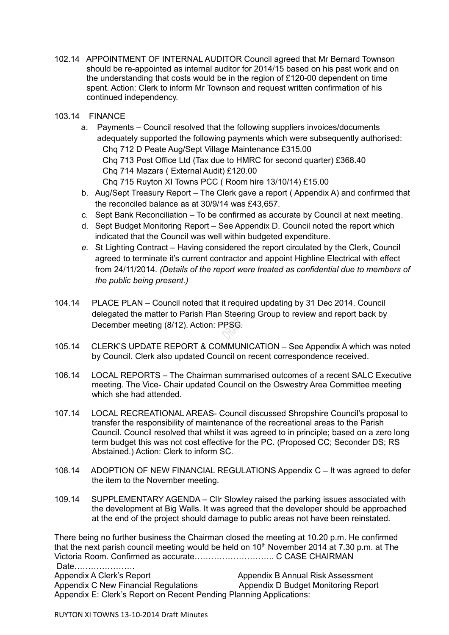- 102.14 APPOINTMENT OF INTERNAL AUDITOR Council agreed that Mr Bernard Townson should be re-appointed as internal auditor for 2014/15 based on his past work and on the understanding that costs would be in the region of £120-00 dependent on time spent. Action: Clerk to inform Mr Townson and request written confirmation of his continued independency.
- 103.14 FINANCE
	- a. Payments Council resolved that the following suppliers invoices/documents adequately supported the following payments which were subsequently authorised: Chq 712 D Peate Aug/Sept Village Maintenance £315.00 Chq 713 Post Office Ltd (Tax due to HMRC for second quarter) £368.40 Chq 714 Mazars ( External Audit) £120.00 Chq 715 Ruyton XI Towns PCC ( Room hire 13/10/14) £15.00
	- b. Aug/Sept Treasury Report The Clerk gave a report ( Appendix A) and confirmed that the reconciled balance as at 30/9/14 was £43,657.
	- c. Sept Bank Reconciliation To be confirmed as accurate by Council at next meeting.
	- d. Sept Budget Monitoring Report See Appendix D. Council noted the report which indicated that the Council was well within budgeted expenditure.
	- *e.* St Lighting Contract Having considered the report circulated by the Clerk, Council agreed to terminate it's current contractor and appoint Highline Electrical with effect from 24/11/2014. *(Details of the report were treated as confidential due to members of the public being present.)*
- 104.14 PLACE PLAN Council noted that it required updating by 31 Dec 2014. Council delegated the matter to Parish Plan Steering Group to review and report back by December meeting (8/12). Action: PPSG.
- 105.14 CLERK'S UPDATE REPORT & COMMUNICATION See Appendix A which was noted by Council. Clerk also updated Council on recent correspondence received.
- 106.14 LOCAL REPORTS The Chairman summarised outcomes of a recent SALC Executive meeting. The Vice- Chair updated Council on the Oswestry Area Committee meeting which she had attended.
- 107.14 LOCAL RECREATIONAL AREAS- Council discussed Shropshire Council's proposal to transfer the responsibility of maintenance of the recreational areas to the Parish Council. Council resolved that whilst it was agreed to in principle; based on a zero long term budget this was not cost effective for the PC. (Proposed CC; Seconder DS; RS Abstained.) Action: Clerk to inform SC.
- 108.14 ADOPTION OF NEW FINANCIAL REGULATIONS Appendix C It was agreed to defer the item to the November meeting.
- 109.14 SUPPLEMENTARY AGENDA Cllr Slowley raised the parking issues associated with the development at Big Walls. It was agreed that the developer should be approached at the end of the project should damage to public areas not have been reinstated.

There being no further business the Chairman closed the meeting at 10.20 p.m. He confirmed that the next parish council meeting would be held on  $10<sup>th</sup>$  November 2014 at 7.30 p.m. at The Victoria Room. Confirmed as accurate……………………….. C CASE CHAIRMAN Date………………….

Appendix A Clerk's Report **All Annual Risk Assessment** Appendix B Annual Risk Assessment Appendix C New Financial Regulations Appendix D Budget Monitoring Report Appendix E: Clerk's Report on Recent Pending Planning Applications: